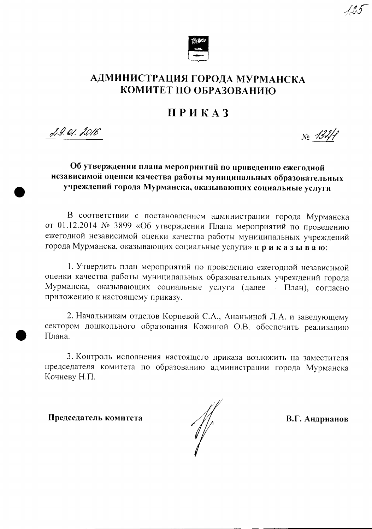

## АДМИНИСТРАЦИЯ ГОРОДА МУРМАНСКА КОМИТЕТ ПО ОБРАЗОВАНИЮ

## ПРИКАЗ

29.01.2016

## Об утверждении плана мероприятий по проведению ежегодной независимой оценки качества работы муниципальных образовательных учреждений города Мурманска, оказывающих социальные услуги

В соответствии с постановлением администрации города Мурманска от 01.12.2014 № 3899 «Об утверждении Плана мероприятий по проведению ежегодной независимой оценки качества работы муниципальных учреждений города Мурманска, оказывающих социальные услуги» приказываю:

1. Утвердить план мероприятий по проведению ежегодной независимой оценки качества работы муниципальных образовательных учреждений города Мурманска, оказывающих социальные услуги (далее – План), согласно приложению к настоящему приказу.

2. Начальникам отделов Корневой С.А., Ананьиной Л.А. и заведующему сектором дошкольного образования Кожиной О.В. обеспечить реализацию Плана.

3. Контроль исполнения настоящего приказа возложить на заместителя председателя комитета по образованию администрации города Мурманска Кочневу Н.П.

Председатель комитета

 $\mathcal{M} \setminus$ 

В.Г. Андрианов

 $N_{0}$  132/1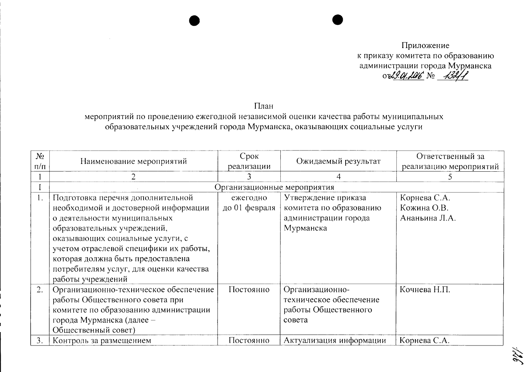Приложение к приказу комитета по образованию администрации города Мурманска<br>от 2.01.106 № 1341

План

мероприятий по проведению ежегодной независимой оценки качества работы муниципальных образовательных учреждений города Мурманска, оказывающих социальные услуги

| $N_2$<br>$\pi/\pi$ | Наименование мероприятий                | Срок<br>реализации          | Ожидаемый результат     | Ответственный за<br>реализацию мероприятий |
|--------------------|-----------------------------------------|-----------------------------|-------------------------|--------------------------------------------|
|                    |                                         |                             | 4                       |                                            |
|                    |                                         | Организационные мероприятия |                         |                                            |
| 1.                 | Подготовка перечня дополнительной       | ежегодно                    | Утверждение приказа     | Корнева С.А.                               |
|                    | необходимой и достоверной информации    | до 01 февраля               | комитета по образованию | Кожина О.В.                                |
|                    | о деятельности муниципальных            |                             | администрации города    | Ананьина Л.А.                              |
|                    | образовательных учреждений,             |                             | Мурманска               |                                            |
|                    | оказывающих социальные услуги, с        |                             |                         |                                            |
|                    | учетом отраслевой специфики их работы,  |                             |                         |                                            |
|                    | которая должна быть предоставлена       |                             |                         |                                            |
|                    | потребителям услуг, для оценки качества |                             |                         |                                            |
|                    | работы учреждений                       |                             |                         |                                            |
| 2.                 | Организационно-техническое обеспечение  | Постоянно                   | Организационно-         | Кочнева Н.П.                               |
|                    | работы Общественного совета при         |                             | техническое обеспечение |                                            |
|                    | комитете по образованию администрации   |                             | работы Общественного    |                                            |
|                    | города Мурманска (далее -               |                             | совета                  |                                            |
|                    | Общественный совет)                     |                             |                         |                                            |
| 3.                 | Контроль за размещением                 | Постоянно                   | Актуализация информации | Корнева С.А.                               |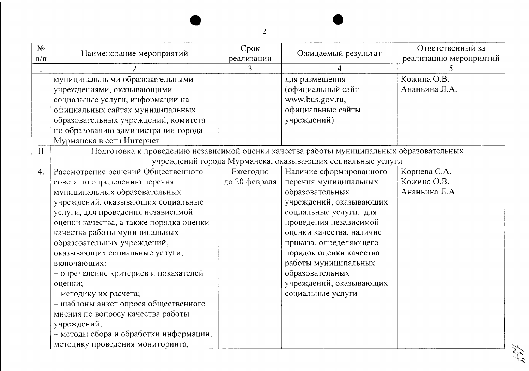| $N_2$<br>$\Pi/\Pi$ | Наименование мероприятий                                                                 | Срок<br>реализации | Ожидаемый результат                                        | Ответственный за<br>реализацию мероприятий |
|--------------------|------------------------------------------------------------------------------------------|--------------------|------------------------------------------------------------|--------------------------------------------|
|                    | $\overline{2}$                                                                           | $\overline{3}$     | 4                                                          | 5                                          |
|                    | муниципальными образовательными                                                          |                    | для размещения                                             | Кожина О.В.                                |
|                    | учреждениями, оказывающими                                                               |                    | (официальный сайт                                          | Ананьина Л.А.                              |
|                    | социальные услуги, информации на                                                         |                    | www.bus.gov.ru,                                            |                                            |
|                    | официальных сайтах муниципальных                                                         |                    | официальные сайты                                          |                                            |
|                    | образовательных учреждений, комитета                                                     |                    | учреждений)                                                |                                            |
|                    | по образованию администрации города                                                      |                    |                                                            |                                            |
|                    | Мурманска в сети Интернет                                                                |                    |                                                            |                                            |
| $\prod$            | Подготовка к проведению независимой оценки качества работы муниципальных образовательных |                    |                                                            |                                            |
|                    |                                                                                          |                    | учреждений города Мурманска, оказывающих социальные услуги |                                            |
| 4.                 | Рассмотрение решений Общественного                                                       | Ежегодно           | Наличие сформированного                                    | Корнева С.А.                               |
|                    | совета по определению перечня                                                            | до 20 февраля      | перечня муниципальных                                      | Кожина О.В.                                |
|                    | муниципальных образовательных                                                            |                    | образовательных                                            | Ананьина Л.А.                              |
|                    | учреждений, оказывающих социальные                                                       |                    | учреждений, оказывающих                                    |                                            |
|                    | услуги, для проведения независимой                                                       |                    | социальные услуги, для                                     |                                            |
|                    | оценки качества, а также порядка оценки                                                  |                    | проведения независимой                                     |                                            |
|                    | качества работы муниципальных                                                            |                    | оценки качества, наличие                                   |                                            |
|                    | образовательных учреждений,                                                              |                    | приказа, определяющего                                     |                                            |
|                    | оказывающих социальные услуги,                                                           |                    | порядок оценки качества                                    |                                            |
|                    | включающих:                                                                              |                    | работы муниципальных                                       |                                            |
|                    | - определение критериев и показателей                                                    |                    | образовательных                                            |                                            |
|                    | оценки;                                                                                  |                    | учреждений, оказывающих                                    |                                            |
|                    | - методику их расчета;                                                                   |                    | социальные услуги                                          |                                            |
|                    | - шаблоны анкет опроса общественного                                                     |                    |                                                            |                                            |
|                    | мнения по вопросу качества работы                                                        |                    |                                                            |                                            |
|                    | учреждений;                                                                              |                    |                                                            |                                            |
|                    | - методы сбора и обработки информации,                                                   |                    |                                                            |                                            |
|                    | методику проведения мониторинга,                                                         |                    |                                                            |                                            |

They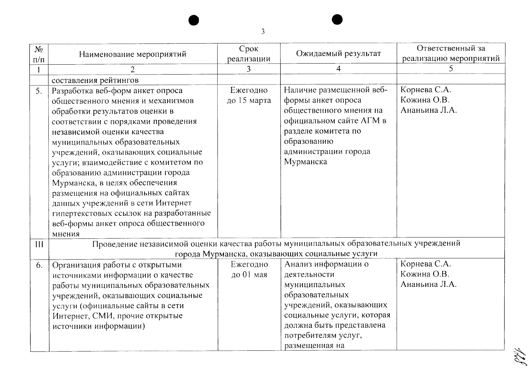| $N_2$<br>$\Pi/\Pi$ | Наименование мероприятий                                                                                                                                                                                                                                                                                                                                                                                                                                                                                                       | Срок<br>реализации      | Ожидаемый результат                                                                                                                                                                                   | Ответственный за<br>реализацию мероприятий   |
|--------------------|--------------------------------------------------------------------------------------------------------------------------------------------------------------------------------------------------------------------------------------------------------------------------------------------------------------------------------------------------------------------------------------------------------------------------------------------------------------------------------------------------------------------------------|-------------------------|-------------------------------------------------------------------------------------------------------------------------------------------------------------------------------------------------------|----------------------------------------------|
|                    | $\overline{2}$                                                                                                                                                                                                                                                                                                                                                                                                                                                                                                                 | 3                       | $\overline{4}$                                                                                                                                                                                        | 5                                            |
|                    | составления рейтингов                                                                                                                                                                                                                                                                                                                                                                                                                                                                                                          |                         |                                                                                                                                                                                                       |                                              |
| 5.                 | Разработка веб-форм анкет опроса<br>общественного мнения и механизмов<br>обработки результатов оценки в<br>соответствии с порядками проведения<br>независимой оценки качества<br>муниципальных образовательных<br>учреждений, оказывающих социальные<br>услуги; взаимодействие с комитетом по<br>образованию администрации города<br>Мурманска, в целях обеспечения<br>размещения на официальных сайтах<br>данных учреждений в сети Интернет<br>гипертекстовых ссылок на разработанные<br>веб-формы анкет опроса общественного | Ежегодно<br>до 15 марта | Наличие размещенной веб-<br>формы анкет опроса<br>общественного мнения на<br>официальном сайте АГМ в<br>разделе комитета по<br>образованию<br>администрации города<br>Мурманска                       | Корнева С.А.<br>Кожина О.В.<br>Ананьина Л.А. |
| III                | мнения<br>Проведение независимой оценки качества работы муниципальных образовательных учреждений                                                                                                                                                                                                                                                                                                                                                                                                                               |                         |                                                                                                                                                                                                       |                                              |
|                    |                                                                                                                                                                                                                                                                                                                                                                                                                                                                                                                                |                         | города Мурманска, оказывающих социальные услуги                                                                                                                                                       |                                              |
| 6.                 | Организация работы с открытыми<br>источниками информации о качестве<br>работы муниципальных образовательных<br>учреждений, оказывающих социальные<br>услуги (официальные сайты в сети<br>Интернет, СМИ, прочие открытые<br>источники информации)                                                                                                                                                                                                                                                                               | Ежегодно<br>до 01 мая   | Анализ информации о<br>деятельности<br>муниципальных<br>образовательных<br>учреждений, оказывающих<br>социальные услуги, которая<br>должна быть представлена<br>потребителям услуг,<br>размещенная на | Корнева С.А.<br>Кожина О.В.<br>Ананьина Л.А. |

128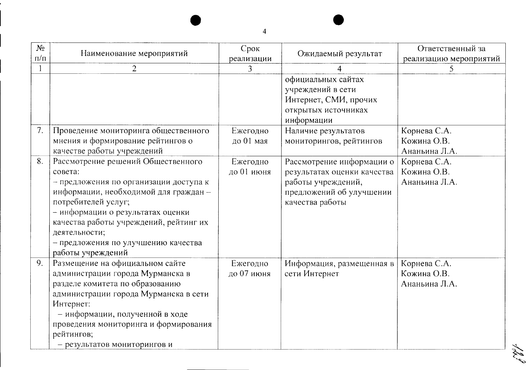| $N_2$<br>$\Pi/\Pi$ | Наименование мероприятий                                                                                                                                                                                                                                                                                            | Срок<br>реализации     | Ожидаемый результат                                                                                                           | Ответственный за<br>реализацию мероприятий   |
|--------------------|---------------------------------------------------------------------------------------------------------------------------------------------------------------------------------------------------------------------------------------------------------------------------------------------------------------------|------------------------|-------------------------------------------------------------------------------------------------------------------------------|----------------------------------------------|
|                    | $\overline{2}$                                                                                                                                                                                                                                                                                                      | 3                      |                                                                                                                               | 5                                            |
|                    |                                                                                                                                                                                                                                                                                                                     |                        | официальных сайтах<br>учреждений в сети<br>Интернет, СМИ, прочих<br>открытых источниках<br>информации                         |                                              |
| 7.                 | Проведение мониторинга общественного<br>мнения и формирование рейтингов о<br>качестве работы учреждений                                                                                                                                                                                                             | Ежегодно<br>до 01 мая  | Наличие результатов<br>мониторингов, рейтингов                                                                                | Корнева С.А.<br>Кожина О.В.<br>Ананьина Л.А. |
| 8.                 | Рассмотрение решений Общественного<br>совета:<br>- предложения по организации доступа к<br>информации, необходимой для граждан -<br>потребителей услуг;<br>- информации о результатах оценки<br>качества работы учреждений, рейтинг их<br>деятельности;<br>- предложения по улучшению качества<br>работы учреждений | Ежегодно<br>до 01 июня | Рассмотрение информации о<br>результатах оценки качества<br>работы учреждений,<br>предложений об улучшении<br>качества работы | Корнева С.А.<br>Кожина О.В.<br>Ананьина Л.А. |
| 9.                 | Размещение на официальном сайте<br>администрации города Мурманска в<br>разделе комитета по образованию<br>администрации города Мурманска в сети<br>Интернет:<br>- информации, полученной в ходе<br>проведения мониторинга и формирования<br>рейтингов;<br>- результатов мониторингов и                              | Ежегодно<br>до 07 июня | Информация, размещенная в<br>сети Интернет                                                                                    | Корнева С.А.<br>Кожина О.В.<br>Ананьина Л.А. |

181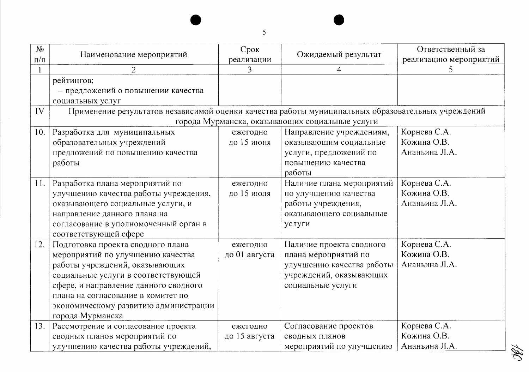| N <sub>2</sub><br>$\Pi/\Pi$ | Наименование мероприятий                                                                                                                                                                                                                                                                    | Срок<br>реализации        | Ожидаемый результат                                                                                                           | Ответственный за<br>реализацию мероприятий   |
|-----------------------------|---------------------------------------------------------------------------------------------------------------------------------------------------------------------------------------------------------------------------------------------------------------------------------------------|---------------------------|-------------------------------------------------------------------------------------------------------------------------------|----------------------------------------------|
|                             | $\overline{2}$                                                                                                                                                                                                                                                                              | 3                         | 4                                                                                                                             | 5                                            |
|                             | рейтингов;<br>- предложений о повышении качества<br>социальных услуг                                                                                                                                                                                                                        |                           |                                                                                                                               |                                              |
| IV                          | Применение результатов независимой оценки качества работы муниципальных образовательных учреждений                                                                                                                                                                                          |                           |                                                                                                                               |                                              |
|                             |                                                                                                                                                                                                                                                                                             |                           | города Мурманска, оказывающих социальные услуги                                                                               |                                              |
| 10.                         | Разработка для муниципальных<br>образовательных учреждений<br>предложений по повышению качества<br>работы                                                                                                                                                                                   | ежегодно<br>до 15 июня    | Направление учреждениям,<br>оказывающим социальные<br>услуги, предложений по<br>повышению качества<br>работы                  | Корнева С.А.<br>Кожина О.В.<br>Ананьина Л.А. |
| 11.                         | Разработка плана мероприятий по<br>улучшению качества работы учреждения,<br>оказывающего социальные услуги, и<br>направление данного плана на<br>согласование в уполномоченный орган в<br>соответствующей сфере                                                                             | ежегодно<br>до 15 июля    | Наличие плана мероприятий<br>по улучшению качества<br>работы учреждения,<br>оказывающего социальные<br>услуги                 | Корнева С.А.<br>Кожина О.В.<br>Ананьина Л.А. |
| 12.                         | Подготовка проекта сводного плана<br>мероприятий по улучшению качества<br>работы учреждений, оказывающих<br>социальные услуги в соответствующей<br>сфере, и направление данного сводного<br>плана на согласование в комитет по<br>экономическому развитию администрации<br>города Мурманска | ежегодно<br>до 01 августа | Наличие проекта сводного<br>плана мероприятий по<br>улучшению качества работы<br>учреждений, оказывающих<br>социальные услуги | Корнева С.А.<br>Кожина О.В.<br>Ананьина Л.А. |
| 13.                         | Рассмотрение и согласование проекта<br>сводных планов мероприятий по<br>улучшению качества работы учреждений,                                                                                                                                                                               | ежегодно<br>до 15 августа | Согласование проектов<br>сводных планов<br>мероприятий по улучшению                                                           | Корнева С.А.<br>Кожина О.В.<br>Ананьина Л.А. |

翁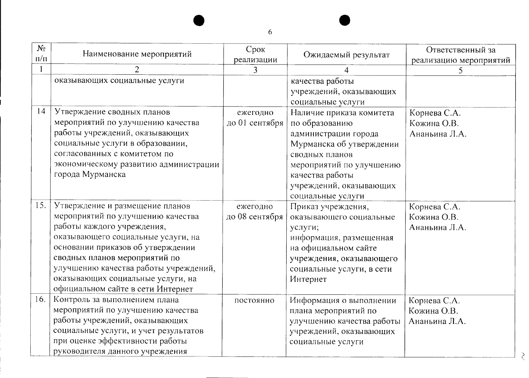| $N_2$<br>$\Pi/\Pi$ | Наименование мероприятий                                                                                                                                                                                                                                                                                                          | Срок<br>реализации         | Ожидаемый результат                                                                                                                                                                                             | Ответственный за<br>реализацию мероприятий   |
|--------------------|-----------------------------------------------------------------------------------------------------------------------------------------------------------------------------------------------------------------------------------------------------------------------------------------------------------------------------------|----------------------------|-----------------------------------------------------------------------------------------------------------------------------------------------------------------------------------------------------------------|----------------------------------------------|
|                    | $\overline{2}$                                                                                                                                                                                                                                                                                                                    | 3                          | $\overline{4}$                                                                                                                                                                                                  | 5                                            |
|                    | оказывающих социальные услуги                                                                                                                                                                                                                                                                                                     |                            | качества работы<br>учреждений, оказывающих<br>социальные услуги                                                                                                                                                 |                                              |
| 14                 | Утверждение сводных планов<br>мероприятий по улучшению качества<br>работы учреждений, оказывающих<br>социальные услуги в образовании,<br>согласованных с комитетом по<br>экономическому развитию администрации<br>города Мурманска                                                                                                | ежегодно<br>до 01 сентября | Наличие приказа комитета<br>по образованию<br>администрации города<br>Мурманска об утверждении<br>сводных планов<br>мероприятий по улучшению<br>качества работы<br>учреждений, оказывающих<br>социальные услуги | Корнева С.А.<br>Кожина О.В.<br>Ананьина Л.А. |
| 15.                | Утверждение и размещение планов<br>мероприятий по улучшению качества<br>работы каждого учреждения,<br>оказывающего социальные услуги, на<br>основании приказов об утверждении<br>сводных планов мероприятий по<br>улучшению качества работы учреждений,<br>оказывающих социальные услуги, на<br>официальном сайте в сети Интернет | ежегодно<br>до 08 сентября | Приказ учреждения,<br>оказывающего социальные<br>услуги;<br>информация, размещенная<br>на официальном сайте<br>учреждения, оказывающего<br>социальные услуги, в сети<br>Интернет                                | Корнева С.А.<br>Кожина О.В.<br>Ананьина Л.А. |
| 16.                | Контроль за выполнением плана<br>мероприятий по улучшению качества<br>работы учреждений, оказывающих<br>социальные услуги, и учет результатов<br>при оценке эффективности работы<br>руководителя данного учреждения                                                                                                               | постоянно                  | Информация о выполнении<br>плана мероприятий по<br>улучшению качества работы<br>учреждений, оказывающих<br>социальные услуги                                                                                    | Корнева С.А.<br>Кожина О.В.<br>Ананьина Л.А. |